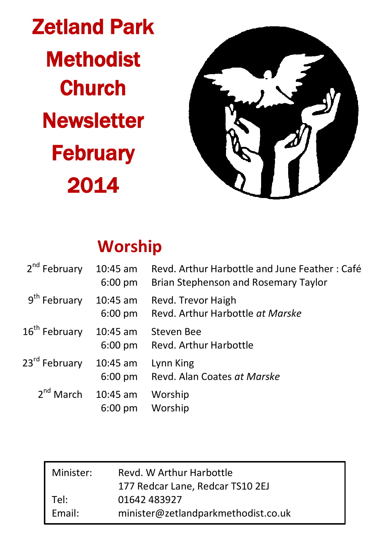Zetland Park **Methodist Church Newsletter February** 2014



# **Worship**

| 2 <sup>nd</sup> February  | $10:45$ am<br>$6:00$ pm         | Revd. Arthur Harbottle and June Feather: Café<br>Brian Stephenson and Rosemary Taylor |
|---------------------------|---------------------------------|---------------------------------------------------------------------------------------|
| 9 <sup>th</sup> February  | $10:45$ am<br>$6:00$ pm         | Revd. Trevor Haigh<br>Revd. Arthur Harbottle at Marske                                |
| 16 <sup>th</sup> February | 10:45 am<br>$6:00$ pm           | Steven Bee<br>Revd. Arthur Harbottle                                                  |
| 23 <sup>rd</sup> February | $10:45$ am<br>$6:00$ pm         | Lynn King<br>Revd. Alan Coates at Marske                                              |
| $2^{nd}$ March            | $10:45$ am<br>$6:00 \text{ pm}$ | Worship<br>Worship                                                                    |

| Minister: | Revd. W Arthur Harbottle            |  |  |
|-----------|-------------------------------------|--|--|
|           | 177 Redcar Lane, Redcar TS10 2EJ    |  |  |
| Tel:      | 01642 483927                        |  |  |
| Email:    | minister@zetlandparkmethodist.co.uk |  |  |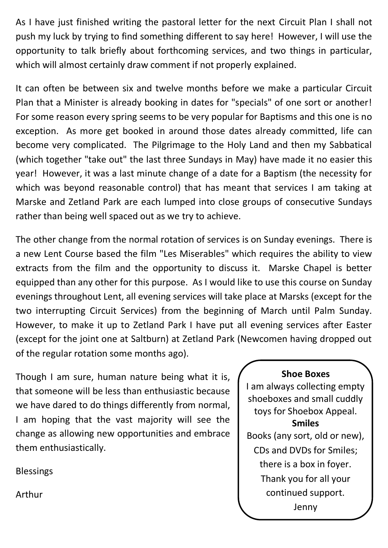As I have just finished writing the pastoral letter for the next Circuit Plan I shall not push my luck by trying to find something different to say here! However, I will use the opportunity to talk briefly about forthcoming services, and two things in particular, which will almost certainly draw comment if not properly explained.

It can often be between six and twelve months before we make a particular Circuit Plan that a Minister is already booking in dates for "specials" of one sort or another! For some reason every spring seems to be very popular for Baptisms and this one is no exception. As more get booked in around those dates already committed, life can become very complicated. The Pilgrimage to the Holy Land and then my Sabbatical (which together "take out" the last three Sundays in May) have made it no easier this year! However, it was a last minute change of a date for a Baptism (the necessity for which was beyond reasonable control) that has meant that services I am taking at Marske and Zetland Park are each lumped into close groups of consecutive Sundays rather than being well spaced out as we try to achieve.

The other change from the normal rotation of services is on Sunday evenings. There is a new Lent Course based the film "Les Miserables" which requires the ability to view extracts from the film and the opportunity to discuss it. Marske Chapel is better equipped than any other for this purpose. As I would like to use this course on Sunday evenings throughout Lent, all evening services will take place at Marsks (except for the two interrupting Circuit Services) from the beginning of March until Palm Sunday. However, to make it up to Zetland Park I have put all evening services after Easter (except for the joint one at Saltburn) at Zetland Park (Newcomen having dropped out of the regular rotation some months ago).

Though I am sure, human nature being what it is, that someone will be less than enthusiastic because we have dared to do things differently from normal, I am hoping that the vast majority will see the change as allowing new opportunities and embrace them enthusiastically.

Blessings

Arthur

#### **Shoe Boxes**

I am always collecting empty shoeboxes and small cuddly toys for Shoebox Appeal. **Smiles** Books (any sort, old or new), CDs and DVDs for Smiles; there is a box in foyer. Thank you for all your continued support. Jenny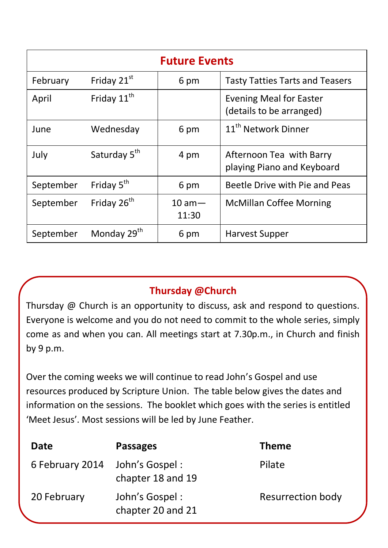| <b>Future Events</b> |                          |                    |                                                            |  |  |  |
|----------------------|--------------------------|--------------------|------------------------------------------------------------|--|--|--|
| February             | Friday 21 <sup>st</sup>  | 6 pm               | <b>Tasty Tatties Tarts and Teasers</b>                     |  |  |  |
| April                | Friday 11 <sup>th</sup>  |                    | <b>Evening Meal for Easter</b><br>(details to be arranged) |  |  |  |
| June                 | Wednesday                | 6 pm               | 11 <sup>th</sup> Network Dinner                            |  |  |  |
| July                 | Saturday 5 <sup>th</sup> | 4 pm               | Afternoon Tea with Barry<br>playing Piano and Keyboard     |  |  |  |
| September            | Friday 5 <sup>th</sup>   | 6 pm               | Beetle Drive with Pie and Peas                             |  |  |  |
| September            | Friday 26 <sup>th</sup>  | $10 am -$<br>11:30 | <b>McMillan Coffee Morning</b>                             |  |  |  |
| September            | Monday 29 <sup>th</sup>  | 6 pm               | Harvest Supper                                             |  |  |  |

## **Thursday @Church**

Thursday @ Church is an opportunity to discuss, ask and respond to questions. Everyone is welcome and you do not need to commit to the whole series, simply come as and when you can. All meetings start at 7.30p.m., in Church and finish by 9 p.m.

Over the coming weeks we will continue to read John's Gospel and use resources produced by Scripture Union. The table below gives the dates and information on the sessions. The booklet which goes with the series is entitled 'Meet Jesus'. Most sessions will be led by June Feather.

| Date            | <b>Passages</b>                     | <b>Theme</b>      |
|-----------------|-------------------------------------|-------------------|
| 6 February 2014 | John's Gospel:<br>chapter 18 and 19 | Pilate            |
| 20 February     | John's Gospel:<br>chapter 20 and 21 | Resurrection body |